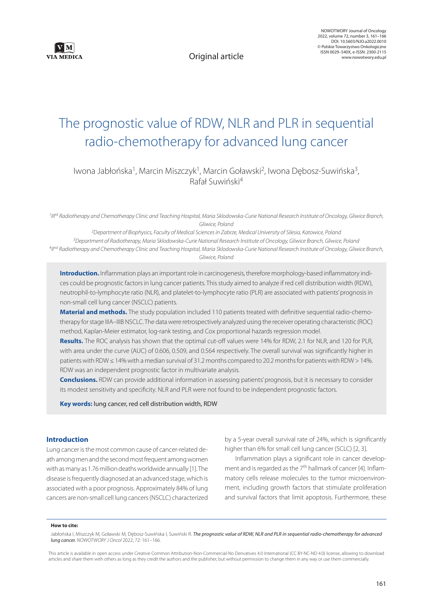

Original article

# The prognostic value of RDW, NLR and PLR in sequential radio-chemotherapy for advanced lung cancer

Iwona Jabłońska<sup>1</sup>, Marcin Miszczyk<sup>1</sup>, Marcin Goławski<sup>2</sup>, Iwona Dębosz-Suwińska<sup>3</sup>, Rafał Suwiński4

<sup>1</sup> III<sup>rd</sup> Radiotherapy and Chemotherapy Clinic and Teaching Hospital, Maria Sklodowska-Curie National Research Institute of Oncology, Gliwice Branch, *Gliwice, Poland*

 *Department of Biophysics, Faculty of Medical Sciences in Zabrze, Medical University of Silesia, Katowice, Poland Department of Radiotherapy, Maria Sklodowska-Curie National Research Institute of Oncology, Gliwice Branch, Gliwice, Poland IInd Radiotherapy and Chemotherapy Clinic and Teaching Hospital, Maria Sklodowska-Curie National Research Institute of Oncology, Gliwice Branch, Gliwice, Poland*

**Introduction.** Inflammation plays an important role in carcinogenesis, therefore morphology-based inflammatory indices could be prognostic factors in lung cancer patients. This study aimed to analyze if red cell distribution width (RDW), neutrophil-to-lymphocyte ratio (NLR), and platelet-to-lymphocyte ratio (PLR) are associated with patients' prognosis in non-small cell lung cancer (NSCLC) patients.

**Material and methods.** The study population included 110 patients treated with definitive sequential radio-chemotherapy for stage IIIA–IIIB NSCLC. The data were retrospectively analyzed using the receiver operating characteristic (ROC) method, Kaplan-Meier estimator, log-rank testing, and Cox proportional hazards regression model.

**Results.** The ROC analysis has shown that the optimal cut-off values were 14% for RDW, 2.1 for NLR, and 120 for PLR, with area under the curve (AUC) of 0.606, 0.509, and 0.564 respectively. The overall survival was significantly higher in patients with RDW ≤ 14% with a median survival of 31.2 months compared to 20.2 months for patients with RDW > 14%. RDW was an independent prognostic factor in multivariate analysis.

**Conclusions.** RDW can provide additional information in assessing patients' prognosis, but it is necessary to consider its modest sensitivity and specificity. NLR and PLR were not found to be independent prognostic factors.

**Key words:** lung cancer, red cell distribution width, RDW

# **Introduction**

Lung cancer is the most common cause of cancer-related death among men and the second most frequent among women with as many as 1.76 million deaths worldwide annually [1]. The disease is frequently diagnosed at an advanced stage, which is associated with a poor prognosis. Approximately 84% of lung cancers are non-small cell lung cancers (NSCLC) characterized by a 5-year overall survival rate of 24%, which is significantly higher than 6% for small cell lung cancer (SCLC) [2, 3].

Inflammation plays a significant role in cancer development and is regarded as the 7<sup>th</sup> hallmark of cancer [4]. Inflammatory cells release molecules to the tumor microenvironment, including growth factors that stimulate proliferation and survival factors that limit apoptosis. Furthermore, these

#### **How to cite:**

Jabłońska I, Miszczyk M, Goławski M, Dębosz-Suwińska I, Suwiński R. The prognostic value of RDW, NLR and PLR in sequential radio-chemotherapy for advanced *lung cancer. NOWOTWORY J Oncol* 2022; 72: 161–166.

This article is available in open access under Creative Common Attribution-Non-Commercial-No Derivatives 4.0 International (CC BY-NC-ND 4.0) license, allowing to download articles and share them with others as long as they credit the authors and the publisher, but without permission to change them in any way or use them commercially.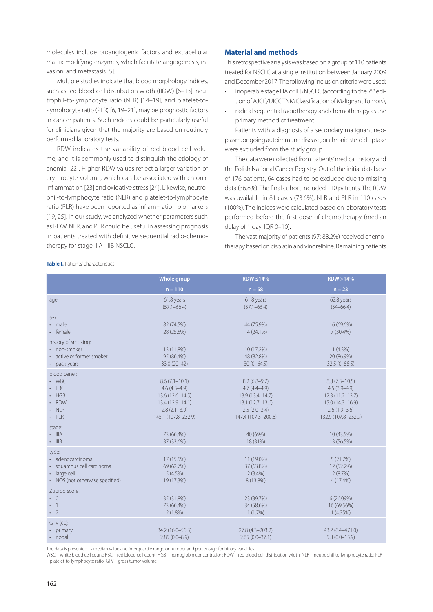molecules include proangiogenic factors and extracellular matrix-modifying enzymes, which facilitate angiogenesis, invasion, and metastasis [5].

Multiple studies indicate that blood morphology indices, such as red blood cell distribution width (RDW) [6–13], neutrophil-to-lymphocyte ratio (NLR) [14–19], and platelet-to- -lymphocyte ratio (PLR) [6, 19–21], may be prognostic factors in cancer patients. Such indices could be particularly useful for clinicians given that the majority are based on routinely performed laboratory tests.

RDW indicates the variability of red blood cell volume, and it is commonly used to distinguish the etiology of anemia [22]. Higher RDW values reflect a larger variation of erythrocyte volume, which can be associated with chronic inflammation [23] and oxidative stress [24]. Likewise, neutrophil-to-lymphocyte ratio (NLR) and platelet-to-lymphocyte ratio (PLR) have been reported as inflammation biomarkers [19, 25]. In our study, we analyzed whether parameters such as RDW, NLR, and PLR could be useful in assessing prognosis in patients treated with definitive sequential radio-chemotherapy for stage IIIA–IIIB NSCLC.

# **Material and methods**

This retrospective analysis was based on a group of 110 patients treated for NSCLC at a single institution between January 2009 and December 2017. The following inclusion criteria were used:

- inoperable stage IIIA or IIIB NSCLC (according to the 7<sup>th</sup> edition of AJCC/UICC TNM Classification of Malignant Tumors),
- radical sequential radiotherapy and chemotherapy as the primary method of treatment.

Patients with a diagnosis of a secondary malignant neoplasm, ongoing autoimmune disease, or chronic steroid uptake were excluded from the study group.

The data were collected from patients' medical history and the Polish National Cancer Registry. Out of the initial database of 176 patients, 64 cases had to be excluded due to missing data (36.8%). The final cohort included 110 patients. The RDW was available in 81 cases (73.6%), NLR and PLR in 110 cases (100%). The indices were calculated based on laboratory tests performed before the first dose of chemotherapy (median delay of 1 day, IQR 0–10).

The vast majority of patients (97; 88.2%) received chemotherapy based on cisplatin and vinorelbine. Remaining patients

|                                                                                                           | Whole group                                                                                                             | $RDW \leq 14\%$                                                                                                      | RDW > 14%                                                                                                                |
|-----------------------------------------------------------------------------------------------------------|-------------------------------------------------------------------------------------------------------------------------|----------------------------------------------------------------------------------------------------------------------|--------------------------------------------------------------------------------------------------------------------------|
|                                                                                                           | $n = 110$                                                                                                               | $n = 58$                                                                                                             | $n = 23$                                                                                                                 |
| age                                                                                                       | 61.8 years<br>$(57.1 - 66.4)$                                                                                           | 61.8 years<br>$(57.1 - 66.4)$                                                                                        | 62.8 years<br>$(54 - 66.4)$                                                                                              |
| sex:<br>· male<br>• female                                                                                | 82 (74.5%)<br>28 (25.5%)                                                                                                | 44 (75.9%)<br>14 (24.1%)                                                                                             | 16 (69.6%)<br>7 (30.4%)                                                                                                  |
| history of smoking:<br>· non-smoker<br>active or former smoker<br>pack-years                              | 13 (11.8%)<br>95 (86.4%)<br>33.0 (20-42)                                                                                | 10 (17.2%)<br>48 (82.8%)<br>$30(0-64.5)$                                                                             | $1(4.3\%)$<br>20 (86.9%)<br>$32.5(0 - 58.5)$                                                                             |
| blood panel:<br>$\cdot$ WBC<br>$\cdot$ RBC<br>$·$ HGB<br>· RDW<br>$\cdot$ NLR<br>$·$ PLR                  | $8.6(7.1-10.1)$<br>$4.6(4.3 - 4.9)$<br>$13.6(12.6 - 14.5)$<br>13.4 (12.9-14.1)<br>$2.8(2.1-3.9)$<br>145.1 (107.8-232.9) | $8.2(6.8-9.7)$<br>$4.7(4.4 - 4.9)$<br>13.9 (13.4-14.7)<br>$13.1(12.7-13.6)$<br>$2.5(2.0-3.4)$<br>147.4 (107.3-200.6) | $8.8(7.3 - 10.5)$<br>$4.5(3.9-4.9)$<br>$12.3(11.2-13.7)$<br>$15.0(14.3 - 16.9)$<br>$2.6(1.9-3.6)$<br>132.9 (107.8-232.9) |
| stage:<br>$\cdot$ IIIA<br>$\cdot$ IIIB                                                                    | 73 (66.4%)<br>37 (33.6%)                                                                                                | 40 (69%)<br>18 (31%)                                                                                                 | 10 (43.5%)<br>13 (56.5%)                                                                                                 |
| type:<br>· adenocarcinoma<br>· squamous cell carcinoma<br>· large cell<br>• NOS (not otherwise specified) | 17 (15.5%)<br>69 (62.7%)<br>5(4.5%)<br>19 (17.3%)                                                                       | 11 (19.0%)<br>37 (63.8%)<br>$2(3.4\%)$<br>8 (13.8%)                                                                  | 5(21.7%)<br>12 (52.2%)<br>2(8.7%)<br>4 (17.4%)                                                                           |
| Zubrod score:<br>$\cdot$ 0<br>$\cdot$ 1<br>$\cdot$ 2                                                      | 35 (31.8%)<br>73 (66.4%)<br>2(1.8%)                                                                                     | 23 (39.7%)<br>34 (58.6%)<br>1(1.7%)                                                                                  | 6(26.09%)<br>16 (69.56%)<br>1(4.35%)                                                                                     |
| GTV (cc):<br>• primary<br>· nodal                                                                         | 34.2 (16.0-56.3)<br>$2.85(0.0 - 8.9)$                                                                                   | 27.8 (4.3-203.2)<br>$2.65(0.0-37.1)$                                                                                 | 43.2 (6.4-471.0)<br>$5.8(0.0-15.9)$                                                                                      |

**Table I.** Patients' characteristics

The data is presented as median value and interquartile range or number and percentage for binary variables.

WBC – white blood cell count; RBC – red blood cell count; HGB – hemoglobin concentration; RDW – red blood cell distribution width; NLR – neutrophil-to-lymphocyte ratio; PLR – platelet-to-lymphocyte ratio; GTV – gross tumor volume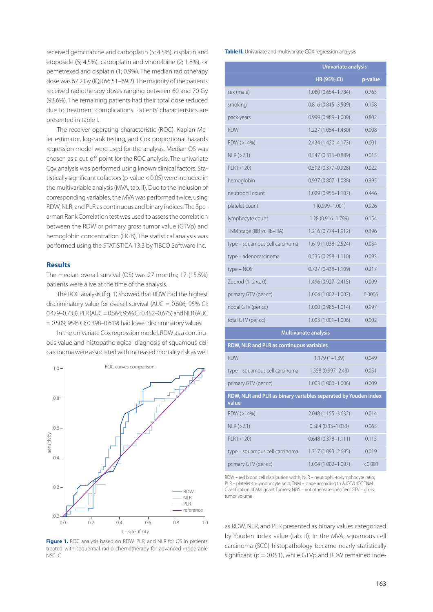received gemcitabine and carboplatin (5; 4.5%), cisplatin and etoposide (5; 4.5%), carboplatin and vinorelbine (2; 1.8%), or pemetrexed and cisplatin (1; 0.9%). The median radiotherapy dose was 67.2 Gy (IQR 66.51–69.2). The majority of the patients received radiotherapy doses ranging between 60 and 70 Gy (93.6%). The remaining patients had their total dose reduced due to treatment complications. Patients' characteristics are presented in table I.

The receiver operating characteristic (ROC), Kaplan-Meier estimator, log-rank testing, and Cox proportional hazards regression model were used for the analysis. Median OS was chosen as a cut-off point for the ROC analysis. The univariate Cox analysis was performed using known clinical factors. Statistically significant cofactors (p-value < 0.05) were included in the multivariable analysis (MVA, tab. II). Due to the inclusion of corresponding variables, the MVA was performed twice, using RDW, NLR, and PLR as continuous and binary indices. The Spearman Rank Correlation test was used to assess the correlation between the RDW or primary gross tumor value (GTVp) and hemoglobin concentration (HGB). The statistical analysis was performed using the STATISTICA 13.3 by TIBCO Software Inc.

# **Results**

The median overall survival (OS) was 27 months; 17 (15.5%) patients were alive at the time of the analysis.

The ROC analysis (fig. 1) showed that RDW had the highest discriminatory value for overall survival ( $AUC = 0.606$ ; 95% CI: 0.479–0.733). PLR (AUC = 0.564; 95% CI: 0.452–0.675) and NLR (AUC  $= 0.509$ ; 95% CI: 0.398–0.619) had lower discriminatory values.

In the univariate Cox regression model, RDW as a continuous value and histopathological diagnosis of squamous cell carcinoma were associated with increased mortality risk as well



Figure 1. ROC analysis based on RDW, PLR, and NLR for OS in patients treated with sequential radio-chemotherapy for advanced inoperable NSCLC

**Table II.** Univariate and multivariate COX regression analysis

|                                                                         | <b>Univariate analysis</b> |         |  |  |
|-------------------------------------------------------------------------|----------------------------|---------|--|--|
|                                                                         | <b>HR (95% CI)</b>         | p-value |  |  |
| sex (male)                                                              | 1.080 (0.654-1.784)        | 0.765   |  |  |
| smoking                                                                 | 0.816 (0.815-3.509)        | 0.158   |  |  |
| pack-years                                                              | $0.999(0.989 - 1.009)$     | 0.802   |  |  |
| <b>RDW</b>                                                              | 1.227 (1.054-1.430)        | 0.008   |  |  |
| RDW (>14%)                                                              | 2.434 (1.420–4.173)        | 0.001   |  |  |
| NLR (>2.1)                                                              | $0.547(0.336 - 0.889)$     | 0.015   |  |  |
| PLR (>120)                                                              | 0.592 (0.377-0.928)        | 0.022   |  |  |
| hemoglobin                                                              | $0.937(0.807 - 1.088)$     | 0.395   |  |  |
| neutrophil count                                                        | 1.029 (0.956-1.107)        | 0.446   |  |  |
| platelet count                                                          | $1(0.999 - 1.001)$         | 0.926   |  |  |
| lymphocyte count                                                        | 1.28 (0.916-1.799)         | 0.154   |  |  |
| TNM stage (IIIB vs. IIB-IIIA)                                           | 1.216 (0.774-1.912)        | 0.396   |  |  |
| type - squamous cell carcinoma                                          | 1.619 (1.038-2.524)        | 0.034   |  |  |
| type - adenocarcinoma                                                   | $0.535(0.258 - 1.110)$     | 0.093   |  |  |
| $type - NOS$                                                            | $0.727(0.438 - 1.109)$     | 0.217   |  |  |
| Zubrod (1-2 vs. 0)                                                      | 1.496 (0.927-2.415)        | 0.099   |  |  |
| primary GTV (per cc)                                                    | $1.004(1.002 - 1.007)$     | 0.0006  |  |  |
| nodal GTV (per cc)                                                      | $1.000(0.986 - 1.014)$     | 0.997   |  |  |
| total GTV (per cc)                                                      | $1.003(1.001 - 1.006)$     | 0.002   |  |  |
| Multivariate analysis                                                   |                            |         |  |  |
| RDW, NLR and PLR as continuous variables                                |                            |         |  |  |
| <b>RDW</b>                                                              | $1.179(1 - 1.39)$          | 0.049   |  |  |
| type – squamous cell carcinoma                                          | $1.558(0.997 - 2.43)$      | 0.051   |  |  |
| primary GTV (per cc)                                                    | 1.003 (1.000-1.006)        | 0.009   |  |  |
| RDW, NLR and PLR as binary variables separated by Youden index<br>value |                            |         |  |  |
| RDW (>14%)                                                              | 2.048 (1.155-3.632)        | 0.014   |  |  |
| NLR (>2.1)                                                              | $0.584(0.33 - 1.033)$      | 0.065   |  |  |
| PLR (> 120)                                                             | $0.648(0.378 - 1.111)$     | 0.115   |  |  |
| type - squamous cell carcinoma                                          | 1.717 (1.093-2.695)        | 0.019   |  |  |
| primary GTV (per cc)                                                    | $1.004(1.002 - 1.007)$     | < 0.001 |  |  |

RDW – red blood cell distribution width; NLR – neutrophil-to-lymphocyte ratio; PLR – platelet-to-lymphocyte ratio; TNM – stage according to AJCC/UICC TNM Classification of Malignant Tumors; NOS – not otherwise specified; GTV – gross tumor volume

as RDW, NLR, and PLR presented as binary values categorized by Youden index value (tab. II). In the MVA, squamous cell carcinoma (SCC) histopathology became nearly statistically significant ( $p = 0.051$ ), while GTVp and RDW remained inde-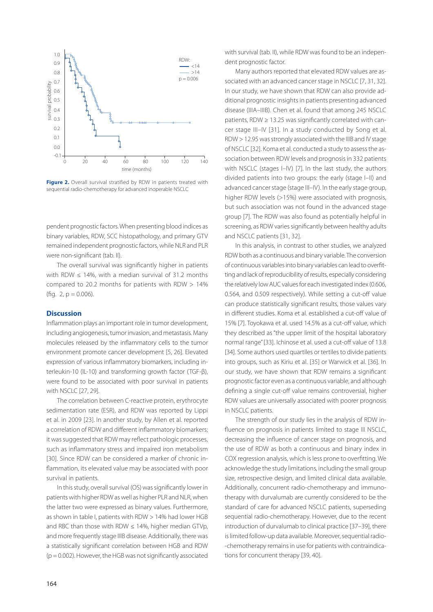

**Figure 2.** Overall survival stratified by RDW in patients treated with sequential radio-chemotherapy for advanced inoperable NSCLC

pendent prognostic factors. When presenting blood indices as binary variables, RDW, SCC histopathology, and primary GTV remained independent prognostic factors, while NLR and PLR were non-significant (tab. II).

The overall survival was significantly higher in patients with RDW  $\leq$  14%, with a median survival of 31.2 months compared to 20.2 months for patients with RDW > 14% (fig.  $2$ ,  $p = 0.006$ ).

## **Discussion**

Inflammation plays an important role in tumor development, including angiogenesis, tumor invasion, and metastasis. Many molecules released by the inflammatory cells to the tumor environment promote cancer development [5, 26]. Elevated expression of various inflammatory biomarkers, including interleukin-10 (IL-10) and transforming growth factor (TGF-β), were found to be associated with poor survival in patients with NSCLC [27, 29].

The correlation between C-reactive protein, erythrocyte sedimentation rate (ESR), and RDW was reported by Lippi et al. in 2009 [23]. In another study, by Allen et al. reported a correlation of RDW and different inflammatory biomarkers; it was suggested that RDW may reflect pathologic processes, such as inflammatory stress and impaired iron metabolism [30]. Since RDW can be considered a marker of chronic inflammation, its elevated value may be associated with poor survival in patients.

In this study, overall survival (OS) was significantly lower in patients with higher RDW as well as higher PLR and NLR, when the latter two were expressed as binary values. Furthermore, as shown in table I, patients with RDW > 14% had lower HGB and RBC than those with RDW  $\leq$  14%, higher median GTVp, and more frequently stage IIIB disease. Additionally, there was a statistically significant correlation between HGB and RDW  $(p = 0.002)$ . However, the HGB was not significantly associated with survival (tab. II), while RDW was found to be an independent prognostic factor.

Many authors reported that elevated RDW values are associated with an advanced cancer stage in NSCLC [7, 31, 32]. In our study, we have shown that RDW can also provide additional prognostic insights in patients presenting advanced disease (IIIA–IIIB). Chen et al. found that among 245 NSCLC patients, RDW ≥ 13.25 was significantly correlated with cancer stage III–IV [31]. In a study conducted by Song et al. RDW > 12.95 was strongly associated with the IIIB and IV stage of NSCLC [32]. Koma et al. conducted a study to assess the association between RDW levels and prognosis in 332 patients with NSCLC (stages I–IV) [7]. In the last study, the authors divided patients into two groups: the early (stage I–II) and advanced cancer stage (stage III–IV). In the early stage group, higher RDW levels (>15%) were associated with prognosis, but such association was not found in the advanced stage group [7]. The RDW was also found as potentially helpful in screening, as RDW varies significantly between healthy adults and NSCLC patients [31, 32].

In this analysis, in contrast to other studies, we analyzed RDW both as a continuous and binary variable. The conversion of continuous variables into binary variables can lead to overfitting and lack of reproducibility of results, especially considering the relatively low AUC values for each investigated index (0.606, 0.564, and 0.509 respectively). While setting a cut-off value can produce statistically significant results, those values vary in different studies. Koma et al. established a cut-off value of 15% [7]. Toyokawa et al. used 14.5% as a cut-off value, which they described as "the upper limit of the hospital laboratory normal range" [33]. Ichinose et al. used a cut-off value of 13.8 [34]. Some authors used quartiles or tertiles to divide patients into groups, such as Kiriu et al. [35] or Warwick et al. [36]. In our study, we have shown that RDW remains a significant prognostic factor even as a continuous variable, and although defining a single cut-off value remains controversial, higher RDW values are universally associated with poorer prognosis in NSCLC patients.

The strength of our study lies in the analysis of RDW influence on prognosis in patients limited to stage III NSCLC, decreasing the influence of cancer stage on prognosis, and the use of RDW as both a continuous and binary index in COX regression analysis, which is less prone to overfitting. We acknowledge the study limitations, including the small group size, retrospective design, and limited clinical data available. Additionally, concurrent radio-chemotherapy and immunotherapy with durvalumab are currently considered to be the standard of care for advanced NSCLC patients, superseding sequential radio-chemotherapy. However, due to the recent introduction of durvalumab to clinical practice [37–39], there is limited follow-up data available. Moreover, sequential radio- -chemotherapy remains in use for patients with contraindications for concurrent therapy [39, 40].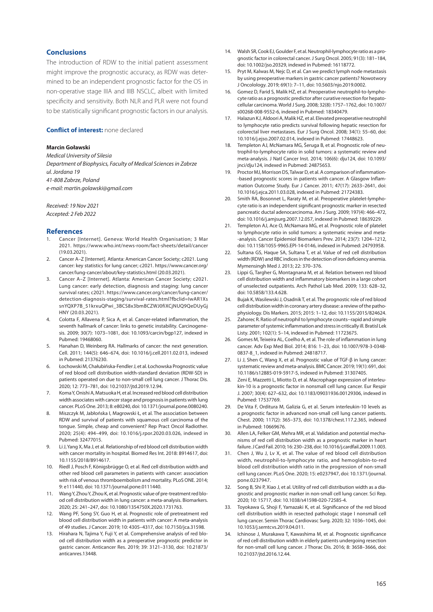### **Conclusions**

The introduction of RDW to the initial patient assessment might improve the prognostic accuracy, as RDW was determined to be an independent prognostic factor for the OS in non-operative stage IIIA and IIIB NSCLC, albeit with limited specificity and sensitivity. Both NLR and PLR were not found to be statistically significant prognostic factors in our analysis.

#### **Conflict of interest: none declared**

#### **Marcin Goławski**

*Medical University of Silesia Department of Biophysics, Faculty of Medical Sciences in Zabrze ul. Jordana 19 41-808 Zabrze, Poland e-mail: [martin.golawski@gmail.com](mailto:martin.golawski@gmail.com)*

#### *Received: 19 Nov 2021 Accepted: 2 Feb 2022*

#### **References**

- 1. Cancer [Internet]. Geneva: World Health Organisation; 3 Mar 2021. <https://www.who.int/news-room/fact-sheets/detail/cancer> (19.03.2021).
- 2. Cancer A–Z [Internet]. Atlanta: American Cancer Society; c2021. Lung cancer: key statistics for lung cancer; c2021. [https://www.cancer.org/](https://www.cancer.org/cancer/lung-cancer/about/key-statistics.html) [cancer/lung-cancer/about/key-statistics.html](https://www.cancer.org/cancer/lung-cancer/about/key-statistics.html) (20.03.2021).
- 3. Cancer A–Z [Internet]. Atlanta: American Cancer Society; c2021. Lung cancer: early detection, diagnosis and staging: lung cancer survival rates; c2021. [https://www.cancer.org/cancer/lung-cancer/](https://www.cancer.org/cancer/lung-cancer/detection-diagnosis-staging/survival-rates.html?fbclid=IwAR1XssnYQXP7B_51krxuQPwi_3BCS8x3bmBCZWJ0fiXCjNUQ9QeDUyGjHNY) [detection-diagnosis-staging/survival-rates.html?fbclid=IwAR1Xs](https://www.cancer.org/cancer/lung-cancer/detection-diagnosis-staging/survival-rates.html?fbclid=IwAR1XssnYQXP7B_51krxuQPwi_3BCS8x3bmBCZWJ0fiXCjNUQ9QeDUyGjHNY) [snYQXP7B\\_51krxuQPwi\\_3BCS8x3bmBCZWJ0fiXCjNUQ9QeDUyGj](https://www.cancer.org/cancer/lung-cancer/detection-diagnosis-staging/survival-rates.html?fbclid=IwAR1XssnYQXP7B_51krxuQPwi_3BCS8x3bmBCZWJ0fiXCjNUQ9QeDUyGjHNY) [HNY](https://www.cancer.org/cancer/lung-cancer/detection-diagnosis-staging/survival-rates.html?fbclid=IwAR1XssnYQXP7B_51krxuQPwi_3BCS8x3bmBCZWJ0fiXCjNUQ9QeDUyGjHNY) (20.03.2021).
- 4. Colotta F, Allavena P, Sica A, et al. Cancer-related inflammation, the seventh hallmark of cancer: links to genetic instability. Carcinogenesis. 2009; 30(7): 1073–1081, doi: [10.1093/carcin/bgp127](http://dx.doi.org/10.1093/carcin/bgp127), indexed in Pubmed: [19468060.](https://www.ncbi.nlm.nih.gov/pubmed/19468060)
- Hanahan D, Weinberg RA. Hallmarks of cancer: the next generation. Cell. 2011; 144(5): 646–674, doi: 10.1016/j.cell.2011.02.013, indexed in Pubmed: [21376230.](https://www.ncbi.nlm.nih.gov/pubmed/21376230)
- 6. Łochowski M, Chałubińska-Fendler J, et al. Łochowska Prognostic value of red blood cell distribution width-standard deviation (RDW-SD) in patients operated on due to non-small cell lung cancer. J Thorac Dis. 2020; 12: 773–781, doi: [10.21037/jtd.2019.12.94](http://dx.doi.org/10.21037/jtd.2019.12.94).
- 7. Koma Y, Onishi A, Matsuoka H, et al. Increased red blood cell distribution width associates with cancer stage and prognosis in patients with lung cancer. PLoS One. 2013; 8: e80240, doi: [10.1371/journal.pone.0080240.](http://dx.doi.org/10.1371/journal.pone.0080240)
- 8. Miszczyk M, Jabłońska I, Magrowski Ł, et al. The association between RDW and survival of patients with squamous cell carcinoma of the tongue. Simple, cheap and convenient? Rep Pract Oncol Radiother. 2020; 25(4): 494–499, doi: [10.1016/j.rpor.2020.03.026,](http://dx.doi.org/10.1016/j.rpor.2020.03.026) indexed in Pubmed: [32477015.](https://www.ncbi.nlm.nih.gov/pubmed/32477015)
- Li J, Yang X, Ma J, et al. Relationship of red blood cell distribution width with cancer mortality in hospital. Biomed Res Int. 2018: 8914617, doi: [10.1155/2018/8914617.](http://dx.doi.org/10.1155/2018/8914617)
- 10. Riedl J, Posch F, Königsbrügge O, et al. Red cell distribution width and other red blood cell parameters in patients with cancer: association with risk of venous thromboembolism and mortality. PLoS ONE. 2014; 9: e111440, doi: [10.1371/journal.pone.0111440](http://dx.doi.org/10.1371/journal.pone.0111440).
- 11. Wang Y, Zhou Y, Zhou K, et al. Prognostic value of pre-treatment red blood cell distribution width in lung cancer: a meta-analysis. Biomarkers. 2020; 25: 241–247, doi: [10.1080/1354750X.2020.1731763](http://dx.doi.org/10.1080/1354750X.2020.1731763).
- 12. Wang PF, Song SY, Guo H, et al. Prognostic role of pretreatment red blood cell distribution width in patients with cancer: A meta-analysis of 49 studies. J Cancer. 2019; 10: 4305–4317, doi: [10.7150/jca.31598.](http://dx.doi.org/10.7150/jca.31598)
- 13. Hirahara N, Tajima Y, Fuji Y, et al. Comprehensive analysis of red blood cell distribution width as a preoperative prognostic predictor in gastric cancer. Anticancer Res. 2019; 39: 3121–3130, doi: [10.21873/](http://dx.doi.org/10.21873/anticanres.13448) [anticanres.13448.](http://dx.doi.org/10.21873/anticanres.13448)
- 14. Walsh SR, Cook EJ, Goulder F, et al. Neutrophil-lymphocyte ratio as a prognostic factor in colorectal cancer. J Surg Oncol. 2005; 91(3): 181–184, doi: [10.1002/jso.20329](http://dx.doi.org/10.1002/jso.20329), indexed in Pubmed: [16118772.](https://www.ncbi.nlm.nih.gov/pubmed/16118772)
- 15. Pryt M, Kalwas M, Nejc D, et al. Can we predict lymph node metastasis by using preoperative markers in gastric cancer patients? Nowotwory J Oncolology. 2019; 69(1): 7–11, doi: [10.5603/njo.2019.0002](http://dx.doi.org/10.5603/njo.2019.0002).
- 16. Gomez D, Farid S, Malik HZ, et al. Preoperative neutrophil-to-lymphocyte ratio as a prognostic predictor after curative resection for hepatocellular carcinoma. World J Surg. 2008; 32(8): 1757–1762, doi: [10.1007/](http://dx.doi.org/10.1007/s00268-008-9552-6) [s00268-008-9552-6,](http://dx.doi.org/10.1007/s00268-008-9552-6) indexed in Pubmed: [18340479](https://www.ncbi.nlm.nih.gov/pubmed/18340479).
- 17. Halazun KJ, Aldoori A, Malik HZ, et al. Elevated preoperative neutrophil to lymphocyte ratio predicts survival following hepatic resection for colorectal liver metastases. Eur J Surg Oncol. 2008; 34(1): 55–60, doi: [10.1016/j.ejso.2007.02.014,](http://dx.doi.org/10.1016/j.ejso.2007.02.014) indexed in Pubmed: [17448623](https://www.ncbi.nlm.nih.gov/pubmed/17448623).
- 18. Templeton AJ, McNamara MG, Šeruga B, et al. Prognostic role of neutrophil-to-lymphocyte ratio in solid tumors: a systematic review and meta-analysis. J Natl Cancer Inst. 2014; 106(6): dju124, doi: [10.1093/](http://dx.doi.org/10.1093/jnci/dju124) [jnci/dju124,](http://dx.doi.org/10.1093/jnci/dju124) indexed in Pubmed: [24875653](https://www.ncbi.nlm.nih.gov/pubmed/24875653).
- 19. Proctor MJ, Morrison DS, Talwar D, et al. A comparison of inflammation- -based prognostic scores in patients with cancer. A Glasgow Inflammation Outcome Study. Eur J Cancer. 2011; 47(17): 2633–2641, doi: [10.1016/j.ejca.2011.03.028,](http://dx.doi.org/10.1016/j.ejca.2011.03.028) indexed in Pubmed: [21724383](https://www.ncbi.nlm.nih.gov/pubmed/21724383).
- 20. Smith RA, Bosonnet L, Raraty M, et al. Preoperative platelet-lymphocyte ratio is an independent significant prognostic marker in resected pancreatic ductal adenocarcinoma. Am J Surg. 2009; 197(4): 466–472, doi: [10.1016/j.amjsurg.2007.12.057,](http://dx.doi.org/10.1016/j.amjsurg.2007.12.057) indexed in Pubmed: [18639229](https://www.ncbi.nlm.nih.gov/pubmed/18639229).
- 21. Templeton AJ, Ace O, McNamara MG, et al. Prognostic role of platelet to lymphocyte ratio in solid tumors: a systematic review and meta- -analysis. Cancer Epidemiol Biomarkers Prev. 2014; 23(7): 1204–1212, doi: [10.1158/1055-9965.EPI-14-0146,](http://dx.doi.org/10.1158/1055-9965.EPI-14-0146) indexed in Pubmed: [24793958](https://www.ncbi.nlm.nih.gov/pubmed/24793958).
- 22. Sultana GS, Haque SA, Sultana T, et al. Value of red cell distribution width (RDW) and RBC indices in the detection of iron deficiency anemia. Mymensingh Med J. 2013; 22: 370–376.
- 23. Lippi G, Targher G, Montagnana M, et al. Relation between red blood cell distribution width and inflammatory biomarkers in a large cohort of unselected outpatients. Arch Pathol Lab Med. 2009; 133: 628–32, doi: [10.5858/133.4.628.](http://dx.doi.org/10.5858/133.4.628)
- 24. Bujak K, Wasilewski J, Osadnik T, et al. The prognostic role of red blood cell distribution width in coronary artery disease: a review of the pathophysiology. Dis Markers. 2015; 2015: 1–12, doi: [10.1155/2015/824624](http://dx.doi.org/10.1155/2015/824624).
- 25. Zahorec R. Ratio of neutrophil to lymphocyte counts--rapid and simple parameter of systemic inflammation and stress in critically ill. Bratisl Lek Listy. 2001; 102(1): 5–14, indexed in Pubmed: [11723675](https://www.ncbi.nlm.nih.gov/pubmed/11723675).
- 26. Gomes M, Teixeira AL, Coelho A, et al. The role of inflammation in lung cancer. Adv Exp Med Biol. 2014; 816: 1–23, doi: [10.1007/978-3-0348-](http://dx.doi.org/10.1007/978-3-0348-0837-8_1) [0837-8\\_1](http://dx.doi.org/10.1007/978-3-0348-0837-8_1), indexed in Pubmed: 24818717.
- 27. Li J, Shen C, Wang X, et al. Prognostic value of TGF-β in lung cancer: systematic review and meta-analysis. BMC Cancer. 2019; 19(1): 691, doi: [10.1186/s12885-019-5917-5](http://dx.doi.org/10.1186/s12885-019-5917-5), indexed in Pubmed: [31307405.](https://www.ncbi.nlm.nih.gov/pubmed/31307405)
- 28. Zeni E, Mazzetti L, Miotto D, et al. Macrophage expression of interleukin-10 is a prognostic factor in nonsmall cell lung cancer. Eur Respir J. 2007; 30(4): 627–632, doi: [10.1183/09031936.00129306,](http://dx.doi.org/10.1183/09031936.00129306) indexed in Pubmed: [17537769](https://www.ncbi.nlm.nih.gov/pubmed/17537769).
- 29. De Vita F, Orditura M, Galizia G, et al. Serum interleukin-10 levels as a prognostic factor in advanced non-small cell lung cancer patients. Chest. 2000; 117(2): 365–373, doi: [10.1378/chest.117.2.365,](http://dx.doi.org/10.1378/chest.117.2.365) indexed in Pubmed: [10669676](https://www.ncbi.nlm.nih.gov/pubmed/10669676).
- 30. Allen LA, Felker GM, Mehra MR, et al. Validation and potential mechanisms of red cell distribution width as a prognostic marker in heart failure. J Card Fail. 2010; 16: 230–238, doi: [10.1016/j.cardfail.2009.11.003](http://dx.doi.org/10.1016/j.cardfail.2009.11.003).
- 31. Chen J, Wu J, Lv X, et al. The value of red blood cell distribution width, neutrophil-to-lymphocyte ratio, and hemoglobin-to-red blood cell distribution width ratio in the progression of non-small cell lung cancer. PLoS One. 2020; 15: e0237947, doi: [10.1371/journal.](http://dx.doi.org/10.1371/journal.pone.0237947) [pone.0237947](http://dx.doi.org/10.1371/journal.pone.0237947).
- 32. Song B, Shi P, Xiao J, et al. Utility of red cell distribution width as a diagnostic and prognostic marker in non-small cell lung cancer. Sci Rep. 2020; 10: 15717, doi: [10.1038/s41598-020-72585-4](http://dx.doi.org/10.1038/s41598-020-72585-4).
- 33. Toyokawa G, Shoji F, Yamazaki K, et al. Significance of the red blood cell distribution width in resected pathologic stage I nonsmall cell lung cancer. Semin Thorac Cardiovasc Surg. 2020; 32: 1036–1045, doi: [10.1053/j.semtcvs.2019.04.011.](http://dx.doi.org/10.1053/j.semtcvs.2019.04.011)
- 34. Ichinose J, Murakawa T, Kawashima M, et al. Prognostic significance of red cell distribution width in elderly patients undergoing resection for non-small cell lung cancer. J Thorac Dis. 2016; 8: 3658–3666, doi: [10.21037/jtd.2016.12.44.](http://dx.doi.org/10.21037/jtd.2016.12.44)